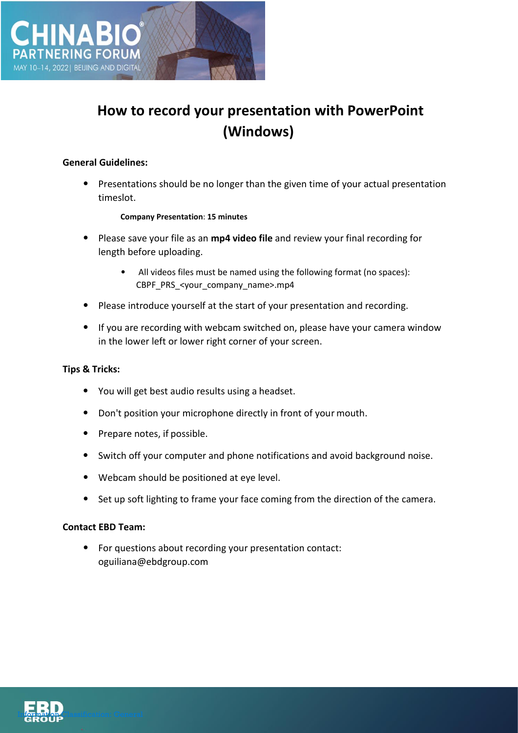

# **How to record your presentation with PowerPoint (Windows)**

#### **General Guidelines:**

• Presentations should be no longer than the given time of your actual presentation timeslot.

#### **Company Presentation**: **15 minutes**

- Please save your file as an **mp4 video file** and review your final recording for length before uploading.
	- All videos files must be named using the following format (no spaces): CBPF\_PRS\_<your\_company\_name>.mp4
- Please introduce yourself at the start of your presentation and recording.
- If you are recording with webcam switched on, please have your camera window in the lower left or lower right corner of your screen.

## **Tips & Tricks:**

- You will get best audio results using a headset.
- Don't position your microphone directly in front of your mouth.
- Prepare notes, if possible.
- Switch off your computer and phone notifications and avoid background noise.
- Webcam should be positioned at eye level.
- Set up soft lighting to frame your face coming from the direction of the camera.

## **Contact EBD Team:**

• For questions about recording your presentation contact: oguiliana@ebdgroup.com

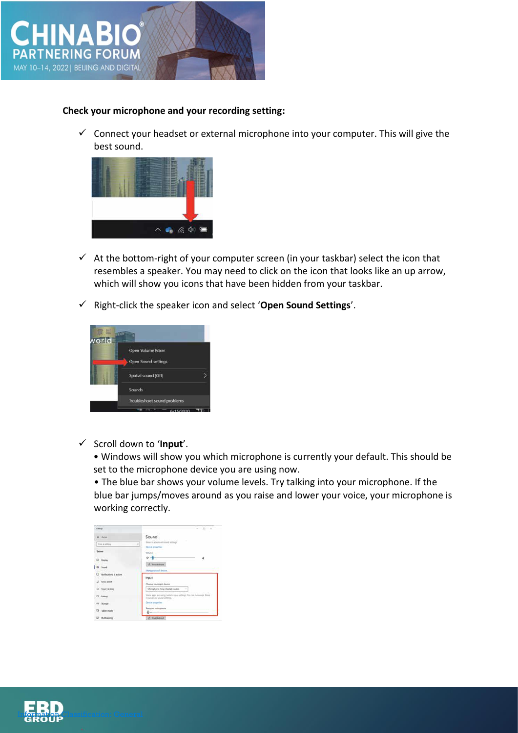

## **Check your microphone and your recording setting:**

 $\checkmark$  Connect your headset or external microphone into your computer. This will give the best sound.



- $\checkmark$  At the bottom-right of your computer screen (in your taskbar) select the icon that resembles a speaker. You may need to click on the icon that looks like an up arrow, which will show you icons that have been hidden from your taskbar.
- ✓ Right-click the speaker icon and select '**Open Sound Settings**'.



✓ Scroll down to '**Input**'.

• Windows will show you which microphone is currently your default. This should be set to the microphone device you are using now.

• The blue bar shows your volume levels. Try talking into your microphone. If the blue bar jumps/moves around as you raise and lower your voice, your microphone is working correctly.

| <b>Gilbert</b>                               | $23 - 2$<br>m.                                                                       |
|----------------------------------------------|--------------------------------------------------------------------------------------|
| <b>Gr. Hans</b>                              | Sound                                                                                |
| First a saming                               | these readvanced sized services<br><b>STEP</b><br>$=1$<br>Denis propirties           |
| <b>System:</b>                               | <b>TERRITORY</b><br>dolume                                                           |
| C Digital                                    | $+1-$                                                                                |
| <b>CU Scund</b>                              | A. Razistort<br><b>Userage sound inviron</b>                                         |
| U Notifications & actions<br><b>ASSAULTS</b> | Input                                                                                |
| $2$ Soun asset                               | Choose your input device                                                             |
| $C$ Prace & sloup                            | Memphone Arts; (Realta) Audio) [ [ ]                                                 |
| CD Battery                                   | States' appt are scored custom leaved settings. Nos can dialermine their ar-<br>---- |
| <b>FR Scrape</b>                             | Dealer properties                                                                    |
| <b>CB</b> Tablet mode                        | <b>Text your injurephone</b><br>д.                                                   |
| If <i>Milleage</i>                           | A Sustanbook                                                                         |

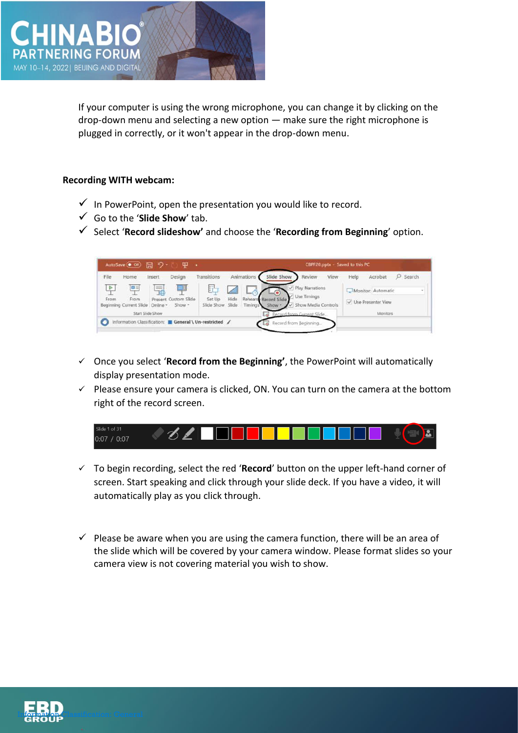

If your computer is using the wrong microphone, you can change it by clicking on the drop-down menu and selecting a new option — make sure the right microphone is plugged in correctly, or it won't appear in the drop-down menu.

## **Recording WITH webcam:**

- $\checkmark$  In PowerPoint, open the presentation you would like to record.
- ✓ Go to the '**Slide Show**' tab.
- ✓ Select '**Record slideshow'** and choose the '**Recording from Beginning**' option.



- ✓ Once you select '**Record from the Beginning'**, the PowerPoint will automatically display presentation mode.
- ✓ Please ensure your camera is clicked, ON. You can turn on the camera at the bottom right of the record screen.



- ✓ To begin recording, select the red '**Record**' button on the upper left-hand corner of screen. Start speaking and click through your slide deck. If you have a video, it will automatically play as you click through.
- $\checkmark$  Please be aware when you are using the camera function, there will be an area of the slide which will be covered by your camera window. Please format slides so your camera view is not covering material you wish to show.

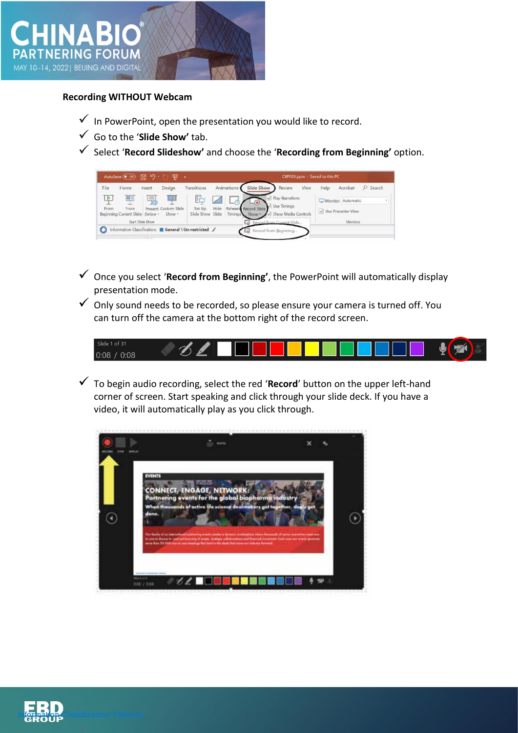

### **Recording WITHOUT Webcam**

- $\checkmark$  In PowerPoint, open the presentation you would like to record.
- ✓ Go to the '**Slide Show'** tab.
- ✓ Select '**Record Slideshow'** and choose the '**Recording from Beginning'** option.

| File                  | Home                                          | Insert           | Design                               | Transitions                     |      | Animations | Slide Show                                 | Review                                                  | View | Help | Acrobat                                    | Search |
|-----------------------|-----------------------------------------------|------------------|--------------------------------------|---------------------------------|------|------------|--------------------------------------------|---------------------------------------------------------|------|------|--------------------------------------------|--------|
| $\frac{D}{2}$<br>From | œ<br>From<br>Beginning Current Slide Online - | Ę.               | mu<br>Present Custom Slide<br>Show - | 阳<br>Set Up<br>Slide Show Slide | Hide | Timings    | Rehears, Record Slide<br>Show <sub>r</sub> | Play Narrations<br>Use Timings<br>V Show Media Controls |      |      | Monitor: Automatic<br>V Use Presenter View |        |
|                       |                                               | Start Slide Show |                                      |                                 |      |            |                                            | tenned from Cirrant Slide                               |      |      | Monitors                                   |        |

- ✓ Once you select '**Record from Beginning'**, the PowerPoint will automatically display presentation mode.
- $\checkmark$  Only sound needs to be recorded, so please ensure your camera is turned off. You can turn off the camera at the bottom right of the record screen.



✓ To begin audio recording, select the red '**Record**' button on the upper left-hand corner of screen. Start speaking and click through your slide deck. If you have a video, it will automatically play as you click through.